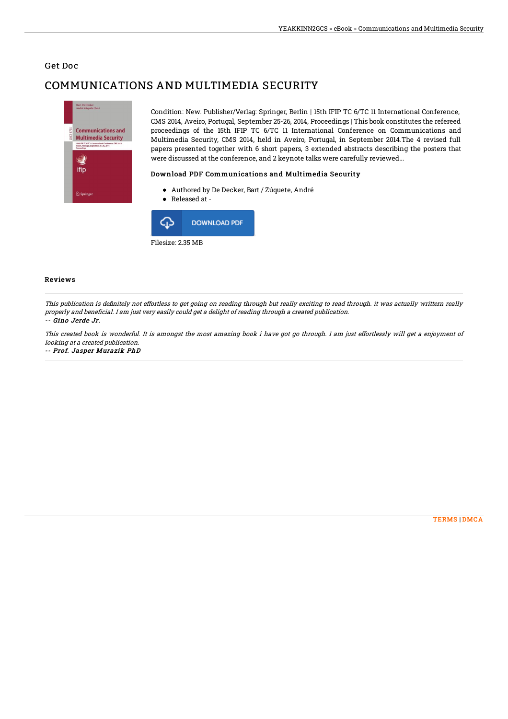### Get Doc

# COMMUNICATIONS AND MULTIMEDIA SECURITY



Condition: New. Publisher/Verlag: Springer, Berlin | 15th IFIP TC 6/TC 11 International Conference, CMS 2014, Aveiro, Portugal, September 25-26, 2014, Proceedings | This book constitutes the refereed proceedings of the 15th IFIP TC 6/TC 11 International Conference on Communications and Multimedia Security, CMS 2014, held in Aveiro, Portugal, in September 2014.The 4 revised full papers presented together with 6 short papers, 3 extended abstracts describing the posters that were discussed at the conference, and 2 keynote talks were carefully reviewed...

#### Download PDF Communications and Multimedia Security

- Authored by De Decker, Bart / Zúquete, André
- Released at -



#### Reviews

This publication is definitely not effortless to get going on reading through but really exciting to read through. it was actually writtern really properly and beneficial. I am just very easily could get <sup>a</sup> delight of reading through <sup>a</sup> created publication. -- Gino Jerde Jr.

This created book is wonderful. It is amongst the most amazing book i have got go through. I am just effortlessly will get <sup>a</sup> enjoyment of looking at <sup>a</sup> created publication.

-- Prof. Jasper Murazik PhD